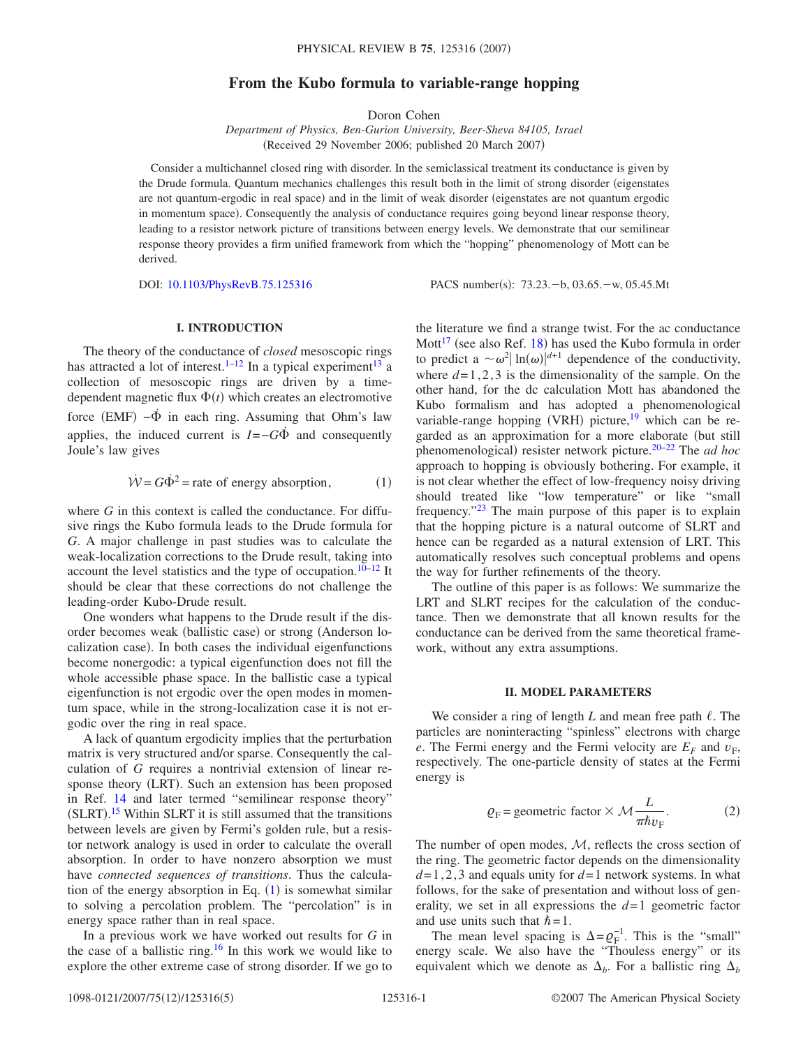# **From the Kubo formula to variable-range hopping**

Doron Cohen

*Department of Physics, Ben-Gurion University, Beer-Sheva 84105, Israel* (Received 29 November 2006; published 20 March 2007)

Consider a multichannel closed ring with disorder. In the semiclassical treatment its conductance is given by the Drude formula. Quantum mechanics challenges this result both in the limit of strong disorder (eigenstates are not quantum-ergodic in real space) and in the limit of weak disorder (eigenstates are not quantum ergodic in momentum space). Consequently the analysis of conductance requires going beyond linear response theory, leading to a resistor network picture of transitions between energy levels. We demonstrate that our semilinear response theory provides a firm unified framework from which the "hopping" phenomenology of Mott can be derived.

DOI: [10.1103/PhysRevB.75.125316](http://dx.doi.org/10.1103/PhysRevB.75.125316)

PACS number(s): 73.23. - b, 03.65. - w, 05.45.Mt

# **I. INTRODUCTION**

The theory of the conductance of *closed* mesoscopic rings has attracted a lot of interest.<sup>1–[12](#page-4-1)</sup> In a typical experiment<sup>13</sup> a collection of mesoscopic rings are driven by a timedependent magnetic flux  $\Phi(t)$  which creates an electromotive force  $(EMF) - \dot{\Phi}$  in each ring. Assuming that Ohm's law applies, the induced current is  $I = -G\dot{\Phi}$  and consequently Joule's law gives

$$
\dot{\mathcal{W}} = G\dot{\Phi}^2 = \text{rate of energy absorption}, \tag{1}
$$

<span id="page-0-0"></span>where *G* in this context is called the conductance. For diffusive rings the Kubo formula leads to the Drude formula for *G*. A major challenge in past studies was to calculate the weak-localization corrections to the Drude result, taking into account the level statistics and the type of occupation.<sup>10[–12](#page-4-1)</sup> It should be clear that these corrections do not challenge the leading-order Kubo-Drude result.

One wonders what happens to the Drude result if the disorder becomes weak (ballistic case) or strong (Anderson localization case). In both cases the individual eigenfunctions become nonergodic: a typical eigenfunction does not fill the whole accessible phase space. In the ballistic case a typical eigenfunction is not ergodic over the open modes in momentum space, while in the strong-localization case it is not ergodic over the ring in real space.

A lack of quantum ergodicity implies that the perturbation matrix is very structured and/or sparse. Consequently the calculation of *G* requires a nontrivial extension of linear response theory (LRT). Such an extension has been proposed in Ref. [14](#page-4-4) and later termed "semilinear response theory"  $(SLRT).$ <sup>[15](#page-4-5)</sup> Within SLRT it is still assumed that the transitions between levels are given by Fermi's golden rule, but a resistor network analogy is used in order to calculate the overall absorption. In order to have nonzero absorption we must have *connected sequences of transitions*. Thus the calculation of the energy absorption in Eq.  $(1)$  $(1)$  $(1)$  is somewhat similar to solving a percolation problem. The "percolation" is in energy space rather than in real space.

In a previous work we have worked out results for *G* in the case of a ballistic ring.<sup>16</sup> In this work we would like to explore the other extreme case of strong disorder. If we go to the literature we find a strange twist. For the ac conductance Mott<sup>17</sup> (see also Ref. [18](#page-4-8)) has used the Kubo formula in order to predict a  $\sim \omega^2 |\ln(\omega)|^{d+1}$  dependence of the conductivity, where  $d=1, 2, 3$  is the dimensionality of the sample. On the other hand, for the dc calculation Mott has abandoned the Kubo formalism and has adopted a phenomenological variable-range hopping (VRH) picture,<sup>19</sup> which can be regarded as an approximation for a more elaborate (but still phenomenological) resister network picture.<sup>20[–22](#page-4-11)</sup> The *ad hoc* approach to hopping is obviously bothering. For example, it is not clear whether the effect of low-frequency noisy driving should treated like "low temperature" or like "small frequency.["23](#page-4-12) The main purpose of this paper is to explain that the hopping picture is a natural outcome of SLRT and hence can be regarded as a natural extension of LRT. This automatically resolves such conceptual problems and opens the way for further refinements of the theory.

The outline of this paper is as follows: We summarize the LRT and SLRT recipes for the calculation of the conductance. Then we demonstrate that all known results for the conductance can be derived from the same theoretical framework, without any extra assumptions.

### **II. MODEL PARAMETERS**

We consider a ring of length  $L$  and mean free path  $\ell$ . The particles are noninteracting "spinless" electrons with charge *e*. The Fermi energy and the Fermi velocity are  $E_F$  and  $v_F$ , respectively. The one-particle density of states at the Fermi energy is

$$
Q_{\rm F} = \text{geometric factor} \times \mathcal{M} \frac{L}{\pi \hbar v_{\rm F}}.\tag{2}
$$

The number of open modes,  $M$ , reflects the cross section of the ring. The geometric factor depends on the dimensionality  $d=1, 2, 3$  and equals unity for  $d=1$  network systems. In what follows, for the sake of presentation and without loss of generality, we set in all expressions the  $d=1$  geometric factor and use units such that  $\hbar = 1$ .

The mean level spacing is  $\Delta = \varrho_F^{-1}$ . This is the "small" energy scale. We also have the "Thouless energy" or its equivalent which we denote as  $\Delta_b$ . For a ballistic ring  $\Delta_b$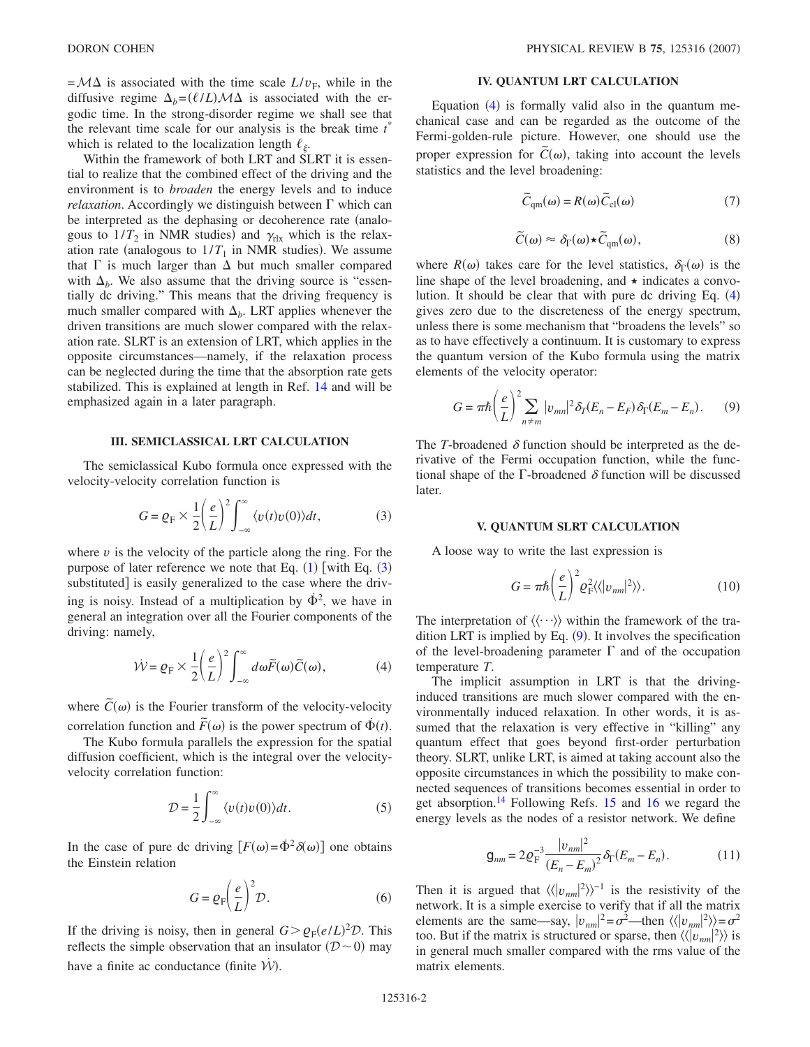$=\mathcal{M}\Delta$  is associated with the time scale  $L/v_F$ , while in the diffusive regime  $\Delta_b = (\ell/L) \mathcal{M} \Delta$  is associated with the ergodic time. In the strong-disorder regime we shall see that the relevant time scale for our analysis is the break time *t* \* which is related to the localization length  $\ell_{\varepsilon}$ .

Within the framework of both LRT and SLRT it is essential to realize that the combined effect of the driving and the environment is to *broaden* the energy levels and to induce *relaxation*. Accordingly we distinguish between  $\Gamma$  which can be interpreted as the dephasing or decoherence rate (analogous to  $1/T_2$  in NMR studies) and  $\gamma_{\text{rlx}}$  which is the relaxation rate (analogous to  $1/T_1$  in NMR studies). We assume that  $\Gamma$  is much larger than  $\Delta$  but much smaller compared with  $\Delta_h$ . We also assume that the driving source is "essentially dc driving." This means that the driving frequency is much smaller compared with  $\Delta_b$ . LRT applies whenever the driven transitions are much slower compared with the relaxation rate. SLRT is an extension of LRT, which applies in the opposite circumstances—namely, if the relaxation process can be neglected during the time that the absorption rate gets stabilized. This is explained at length in Ref. [14](#page-4-4) and will be emphasized again in a later paragraph.

## **III. SEMICLASSICAL LRT CALCULATION**

<span id="page-1-0"></span>The semiclassical Kubo formula once expressed with the velocity-velocity correlation function is

$$
G = \varrho_{\rm F} \times \frac{1}{2} \left(\frac{e}{L}\right)^2 \int_{-\infty}^{\infty} \langle v(t)v(0) \rangle dt, \tag{3}
$$

where  $v$  is the velocity of the particle along the ring. For the purpose of later reference we note that Eq.  $(1)$  $(1)$  $(1)$  [with Eq.  $(3)$  $(3)$  $(3)$ substituted is easily generalized to the case where the driving is noisy. Instead of a multiplication by  $\dot{\Phi}^2$ , we have in general an integration over all the Fourier components of the driving: namely,

$$
\dot{\mathcal{W}} = \varrho_{\rm F} \times \frac{1}{2} \left(\frac{e}{L}\right)^2 \int_{-\infty}^{\infty} d\omega \widetilde{F}(\omega) \widetilde{C}(\omega), \tag{4}
$$

<span id="page-1-1"></span>where  $\tilde{C}(\omega)$  is the Fourier transform of the velocity-velocity correlation function and  $\tilde{F}(\omega)$  is the power spectrum of  $\dot{\Phi}(t)$ .

The Kubo formula parallels the expression for the spatial diffusion coefficient, which is the integral over the velocityvelocity correlation function:

$$
\mathcal{D} = \frac{1}{2} \int_{-\infty}^{\infty} \langle v(t)v(0) \rangle dt.
$$
 (5)

In the case of pure dc driving  $[F(\omega) = \dot{\Phi}^2 \delta(\omega)]$  one obtains the Einstein relation

$$
G = \varrho_{\rm F} \left( \frac{e}{L} \right)^2 \mathcal{D}.
$$
 (6)

If the driving is noisy, then in general  $G > \rho_F (e/L)^2 \mathcal{D}$ . This reflects the simple observation that an insulator  $(D\sim 0)$  may have a finite ac conductance (finite  $\dot{\mathcal{W}}$ ).

# **IV. QUANTUM LRT CALCULATION**

Equation  $(4)$  $(4)$  $(4)$  is formally valid also in the quantum mechanical case and can be regarded as the outcome of the Fermi-golden-rule picture. However, one should use the proper expression for  $\tilde{C}(\omega)$ , taking into account the levels statistics and the level broadening:

$$
\widetilde{C}_{\rm qm}(\omega) = R(\omega)\widetilde{C}_{\rm cl}(\omega) \tag{7}
$$

$$
\widetilde{C}(\omega) \approx \delta_{\Gamma}(\omega) \star \widetilde{C}_{\mathrm{qm}}(\omega), \tag{8}
$$

<span id="page-1-6"></span><span id="page-1-5"></span>where  $R(\omega)$  takes care for the level statistics,  $\delta_{\Gamma}(\omega)$  is the line shape of the level broadening, and  $\star$  indicates a convolution. It should be clear that with pure dc driving Eq.  $(4)$  $(4)$  $(4)$ gives zero due to the discreteness of the energy spectrum, unless there is some mechanism that "broadens the levels" so as to have effectively a continuum. It is customary to express the quantum version of the Kubo formula using the matrix elements of the velocity operator:

<span id="page-1-2"></span>
$$
G = \pi \hbar \left(\frac{e}{L}\right)^2 \sum_{n \neq m} |v_{mn}|^2 \delta_T (E_n - E_F) \delta_\Gamma (E_m - E_n). \tag{9}
$$

The *T*-broadened  $\delta$  function should be interpreted as the derivative of the Fermi occupation function, while the functional shape of the  $\Gamma$ -broadened  $\delta$  function will be discussed later.

#### **V. QUANTUM SLRT CALCULATION**

<span id="page-1-3"></span>A loose way to write the last expression is

$$
G = \pi \hbar \left(\frac{e}{L}\right)^2 Q_{\rm F}^2 \langle \langle |v_{nm}|^2 \rangle \rangle. \tag{10}
$$

The interpretation of  $\langle \langle \cdots \rangle \rangle$  within the framework of the tra-dition LRT is implied by Eq. ([9](#page-1-2)). It involves the specification of the level-broadening parameter  $\Gamma$  and of the occupation temperature *T*.

The implicit assumption in LRT is that the drivinginduced transitions are much slower compared with the environmentally induced relaxation. In other words, it is assumed that the relaxation is very effective in "killing" any quantum effect that goes beyond first-order perturbation theory. SLRT, unlike LRT, is aimed at taking account also the opposite circumstances in which the possibility to make connected sequences of transitions becomes essential in order to get absorption.<sup>14</sup> Following Refs. [15](#page-4-5) and [16](#page-4-6) we regard the energy levels as the nodes of a resistor network. We define

$$
\mathbf{g}_{nm} = 2\varrho_{\rm F}^{-3} \frac{|v_{nm}|^2}{(E_n - E_m)^2} \delta_{\rm T}(E_m - E_n). \tag{11}
$$

<span id="page-1-4"></span>Then it is argued that  $\langle \langle v_{nm} |^2 \rangle \rangle^{-1}$  is the resistivity of the network. It is a simple exercise to verify that if all the matrix elements are the same—say,  $|v_{nm}|^2 = \sigma^2$ —then  $\langle \langle |v_{nm}|^2 \rangle \rangle = \sigma^2$ too. But if the matrix is structured or sparse, then  $\langle \langle v_{nm} |^2 \rangle \rangle$  is in general much smaller compared with the rms value of the matrix elements.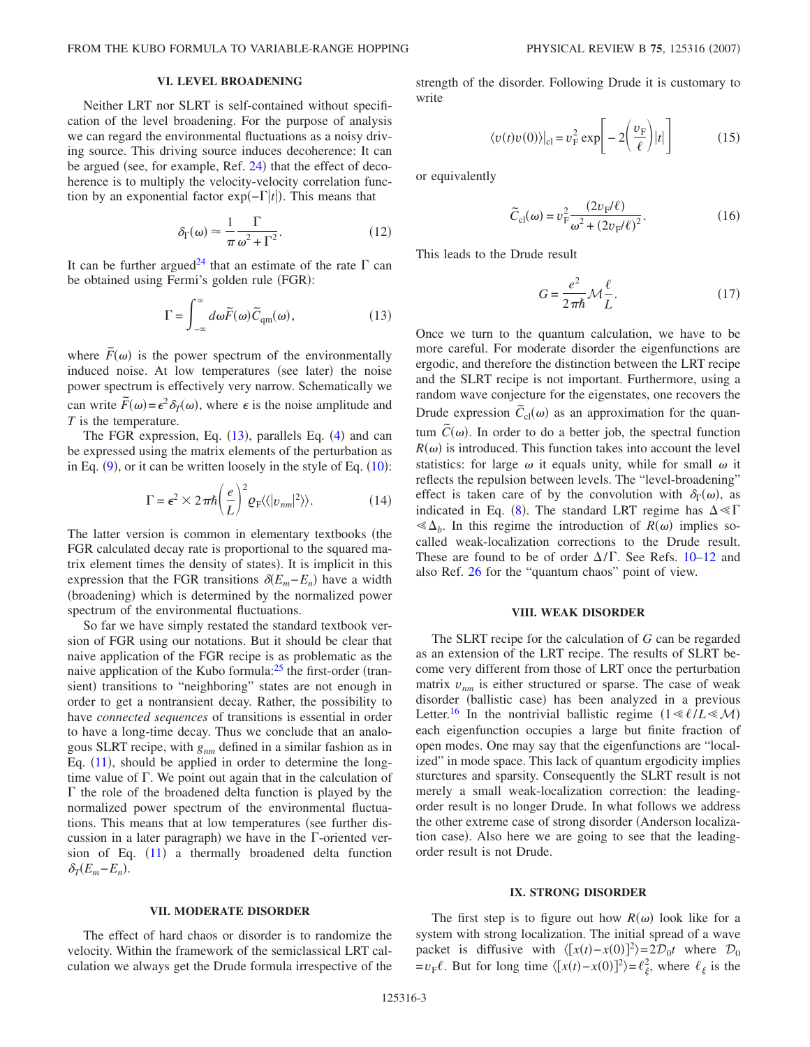### **VI. LEVEL BROADENING**

Neither LRT nor SLRT is self-contained without specification of the level broadening. For the purpose of analysis we can regard the environmental fluctuations as a noisy driving source. This driving source induces decoherence: It can be argued (see, for example, Ref. [24](#page-4-13)) that the effect of decoherence is to multiply the velocity-velocity correlation function by an exponential factor  $exp(-\Gamma|t|)$ . This means that

$$
\delta_{\Gamma}(\omega) \approx \frac{1}{\pi} \frac{\Gamma}{\omega^2 + \Gamma^2}.
$$
 (12)

<span id="page-2-1"></span><span id="page-2-0"></span>It can be further argued<sup>24</sup> that an estimate of the rate  $\Gamma$  can be obtained using Fermi's golden rule (FGR):

$$
\Gamma = \int_{-\infty}^{\infty} d\omega \widetilde{F}(\omega) \widetilde{C}_{qm}(\omega), \qquad (13)
$$

where  $\tilde{F}(\omega)$  is the power spectrum of the environmentally induced noise. At low temperatures (see later) the noise power spectrum is effectively very narrow. Schematically we can write  $\tilde{F}(\omega) = \epsilon^2 \delta_T(\omega)$ , where  $\epsilon$  is the noise amplitude and *T* is the temperature.

The FGR expression, Eq.  $(13)$  $(13)$  $(13)$ , parallels Eq.  $(4)$  $(4)$  $(4)$  and can be expressed using the matrix elements of the perturbation as in Eq.  $(9)$  $(9)$  $(9)$ , or it can be written loosely in the style of Eq.  $(10)$  $(10)$  $(10)$ :

$$
\Gamma = \epsilon^2 \times 2\pi \hbar \left(\frac{e}{L}\right)^2 Q_{\rm F} \langle \langle |v_{nm}|^2 \rangle \rangle. \tag{14}
$$

The latter version is common in elementary textbooks (the FGR calculated decay rate is proportional to the squared matrix element times the density of states). It is implicit in this expression that the FGR transitions  $\delta(E_m - E_n)$  have a width (broadening) which is determined by the normalized power spectrum of the environmental fluctuations.

So far we have simply restated the standard textbook version of FGR using our notations. But it should be clear that naive application of the FGR recipe is as problematic as the naive application of the Kubo formula: $^{25}$  the first-order (transient) transitions to "neighboring" states are not enough in order to get a nontransient decay. Rather, the possibility to have *connected sequences* of transitions is essential in order to have a long-time decay. Thus we conclude that an analogous SLRT recipe, with *gnm* defined in a similar fashion as in Eq.  $(11)$  $(11)$  $(11)$ , should be applied in order to determine the longtime value of  $\Gamma$ . We point out again that in the calculation of  $\Gamma$  the role of the broadened delta function is played by the normalized power spectrum of the environmental fluctuations. This means that at low temperatures (see further discussion in a later paragraph) we have in the  $\Gamma$ -oriented version of Eq.  $(11)$  $(11)$  $(11)$  a thermally broadened delta function  $\delta_T(E_m - E_n)$ .

The effect of hard chaos or disorder is to randomize the velocity. Within the framework of the semiclassical LRT calculation we always get the Drude formula irrespective of the strength of the disorder. Following Drude it is customary to write

$$
\langle v(t)v(0) \rangle|_{\text{cl}} = v_{\text{F}}^2 \exp\left[-2\left(\frac{v_{\text{F}}}{\ell}\right)|t|\right] \tag{15}
$$

or equivalently

$$
\tilde{C}_{\rm cl}(\omega) = v_{\rm F}^2 \frac{(2v_{\rm F}/\ell)}{\omega^2 + (2v_{\rm F}/\ell)^2}.
$$
\n(16)

This leads to the Drude result

$$
G = \frac{e^2}{2\pi\hbar} \mathcal{M}\frac{\ell}{L}.
$$
 (17)

Once we turn to the quantum calculation, we have to be more careful. For moderate disorder the eigenfunctions are ergodic, and therefore the distinction between the LRT recipe and the SLRT recipe is not important. Furthermore, using a random wave conjecture for the eigenstates, one recovers the Drude expression  $\tilde{C}_{cl}(\omega)$  as an approximation for the quantum  $\tilde{C}(\omega)$ . In order to do a better job, the spectral function  $R(\omega)$  is introduced. This function takes into account the level statistics: for large  $\omega$  it equals unity, while for small  $\omega$  it reflects the repulsion between levels. The "level-broadening" effect is taken care of by the convolution with  $\delta_{\Gamma}(\omega)$ , as indicated in Eq. ([8](#page-1-5)). The standard LRT regime has  $\Delta \ll \Gamma$  $\ll \Delta_b$ . In this regime the introduction of *R*( $\omega$ ) implies socalled weak-localization corrections to the Drude result. These are found to be of order  $\Delta/\Gamma$ . See Refs. [10](#page-4-3)[–12](#page-4-1) and also Ref. [26](#page-4-15) for the "quantum chaos" point of view.

### **VIII. WEAK DISORDER**

The SLRT recipe for the calculation of *G* can be regarded as an extension of the LRT recipe. The results of SLRT become very different from those of LRT once the perturbation matrix  $v_{nm}$  is either structured or sparse. The case of weak disorder (ballistic case) has been analyzed in a previous Letter.<sup>16</sup> In the nontrivial ballistic regime  $(1 \le \ell/L \le \mathcal{M})$ each eigenfunction occupies a large but finite fraction of open modes. One may say that the eigenfunctions are "localized" in mode space. This lack of quantum ergodicity implies sturctures and sparsity. Consequently the SLRT result is not merely a small weak-localization correction: the leadingorder result is no longer Drude. In what follows we address the other extreme case of strong disorder (Anderson localization case). Also here we are going to see that the leadingorder result is not Drude.

#### **IX. STRONG DISORDER**

The first step is to figure out how  $R(\omega)$  look like for a system with strong localization. The initial spread of a wave packet is diffusive with  $\langle [x(t) - x(0)]^2 \rangle = 2\mathcal{D}_0 t$  where  $\mathcal{D}_0$  $= v_F \ell$ . But for long time  $\langle [x(t) - x(0)]^2 \rangle = \ell_{\xi}^2$ , where  $\ell_{\xi}$  is the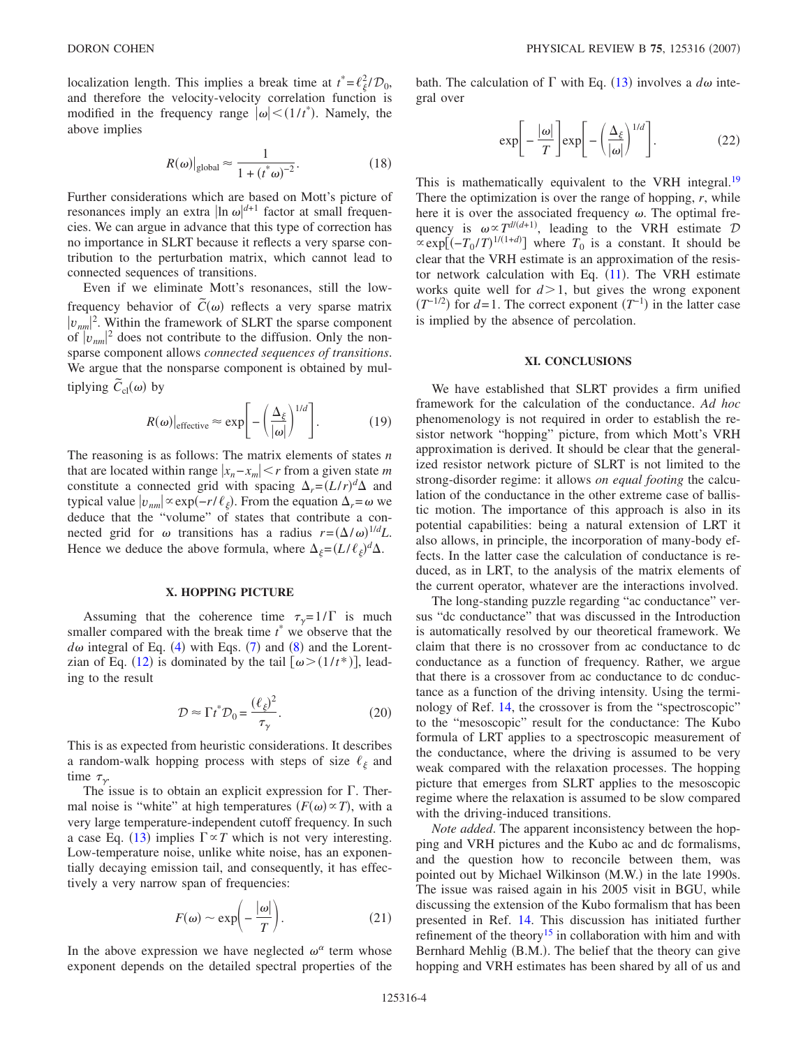localization length. This implies a break time at  $t^* = \ell_{\xi}^2 / \mathcal{D}_0$ , and therefore the velocity-velocity correlation function is modified in the frequency range  $|\omega| < (1/t^*)$ . Namely, the above implies

$$
R(\omega)|_{\text{global}} \approx \frac{1}{1 + (t^*\omega)^{-2}}.\tag{18}
$$

Further considerations which are based on Mott's picture of resonances imply an extra  $\ln \omega$ <sup> $d+1$ </sup> factor at small frequencies. We can argue in advance that this type of correction has no importance in SLRT because it reflects a very sparse contribution to the perturbation matrix, which cannot lead to connected sequences of transitions.

Even if we eliminate Mott's resonances, still the lowfrequency behavior of  $\tilde{C}(\omega)$  reflects a very sparse matrix  $|v_{nm}|^2$ . Within the framework of SLRT the sparse component of  $|v_{nm}|^2$  does not contribute to the diffusion. Only the nonsparse component allows *connected sequences of transitions*. We argue that the nonsparse component is obtained by multiplying  $\tilde{C}_{\text{cl}}(\omega)$  by

$$
R(\omega)|_{\text{effective}} \approx \exp\bigg[-\bigg(\frac{\Delta_{\xi}}{|\omega|}\bigg)^{1/d}\bigg].\tag{19}
$$

The reasoning is as follows: The matrix elements of states *n* that are located within range  $|x_n - x_m| \le r$  from a given state *m* constitute a connected grid with spacing  $\Delta_r = (L/r)^d \Delta$  and typical value  $|v_{nm}| \propto \exp(-r/\ell_{\xi})$ . From the equation  $\Delta_r = \omega$  we deduce that the "volume" of states that contribute a connected grid for  $\omega$  transitions has a radius  $r = (\Delta/\omega)^{1/d} L$ . Hence we deduce the above formula, where  $\Delta_{\xi} = (L/\ell_{\xi})^d \Delta$ .

### **X. HOPPING PICTURE**

Assuming that the coherence time  $\tau_y = 1/\Gamma$  is much smaller compared with the break time  $t^*$  we observe that the  $d\omega$  integral of Eq. ([4](#page-1-1)) with Eqs. ([7](#page-1-6)) and ([8](#page-1-5)) and the Lorent-zian of Eq. ([12](#page-2-1)) is dominated by the tail  $[\omega > (1/t^*)]$ , leading to the result

$$
\mathcal{D} \approx \Gamma t^* \mathcal{D}_0 = \frac{(\ell_{\xi})^2}{\tau_{\gamma}}.
$$
 (20)

This is as expected from heuristic considerations. It describes a random-walk hopping process with steps of size  $\ell_{\xi}$  and time  $\tau_{\gamma}$ .

The issue is to obtain an explicit expression for  $\Gamma$ . Thermal noise is "white" at high temperatures  $(F(\omega) \propto T)$ , with a very large temperature-independent cutoff frequency. In such a case Eq. ([13](#page-2-0)) implies  $\Gamma \propto T$  which is not very interesting. Low-temperature noise, unlike white noise, has an exponentially decaying emission tail, and consequently, it has effectively a very narrow span of frequencies:

$$
F(\omega) \sim \exp\biggl(-\frac{|\omega|}{T}\biggr). \tag{21}
$$

In the above expression we have neglected  $\omega^{\alpha}$  term whose exponent depends on the detailed spectral properties of the

bath. The calculation of  $\Gamma$  with Eq. ([13](#page-2-0)) involves a  $d\omega$  integral over

$$
\exp\left[-\frac{|\omega|}{T}\right]\exp\left[-\left(\frac{\Delta_{\xi}}{|\omega|}\right)^{1/d}\right].
$$
 (22)

This is mathematically equivalent to the VRH integral.<sup>19</sup> There the optimization is over the range of hopping, *r*, while here it is over the associated frequency  $\omega$ . The optimal frequency is  $\omega \propto T^{d/(d+1)}$ , leading to the VRH estimate D  $\propto \exp[(-T_0/T)^{1/(1+d)}]$  where  $T_0$  is a constant. It should be clear that the VRH estimate is an approximation of the resistor network calculation with Eq.  $(11)$  $(11)$  $(11)$ . The VRH estimate works quite well for  $d > 1$ , but gives the wrong exponent  $(T^{-1/2})$  for *d*=1. The correct exponent  $(T^{-1})$  in the latter case is implied by the absence of percolation.

# **XI. CONCLUSIONS**

We have established that SLRT provides a firm unified framework for the calculation of the conductance. *Ad hoc* phenomenology is not required in order to establish the resistor network "hopping" picture, from which Mott's VRH approximation is derived. It should be clear that the generalized resistor network picture of SLRT is not limited to the strong-disorder regime: it allows *on equal footing* the calculation of the conductance in the other extreme case of ballistic motion. The importance of this approach is also in its potential capabilities: being a natural extension of LRT it also allows, in principle, the incorporation of many-body effects. In the latter case the calculation of conductance is reduced, as in LRT, to the analysis of the matrix elements of the current operator, whatever are the interactions involved.

The long-standing puzzle regarding "ac conductance" versus "dc conductance" that was discussed in the Introduction is automatically resolved by our theoretical framework. We claim that there is no crossover from ac conductance to dc conductance as a function of frequency. Rather, we argue that there is a crossover from ac conductance to dc conductance as a function of the driving intensity. Using the terminology of Ref. [14,](#page-4-4) the crossover is from the "spectroscopic" to the "mesoscopic" result for the conductance: The Kubo formula of LRT applies to a spectroscopic measurement of the conductance, where the driving is assumed to be very weak compared with the relaxation processes. The hopping picture that emerges from SLRT applies to the mesoscopic regime where the relaxation is assumed to be slow compared with the driving-induced transitions.

*Note added*. The apparent inconsistency between the hopping and VRH pictures and the Kubo ac and dc formalisms, and the question how to reconcile between them, was pointed out by Michael Wilkinson (M.W.) in the late 1990s. The issue was raised again in his 2005 visit in BGU, while discussing the extension of the Kubo formalism that has been presented in Ref. [14.](#page-4-4) This discussion has initiated further refinement of the theory<sup>15</sup> in collaboration with him and with Bernhard Mehlig (B.M.). The belief that the theory can give hopping and VRH estimates has been shared by all of us and